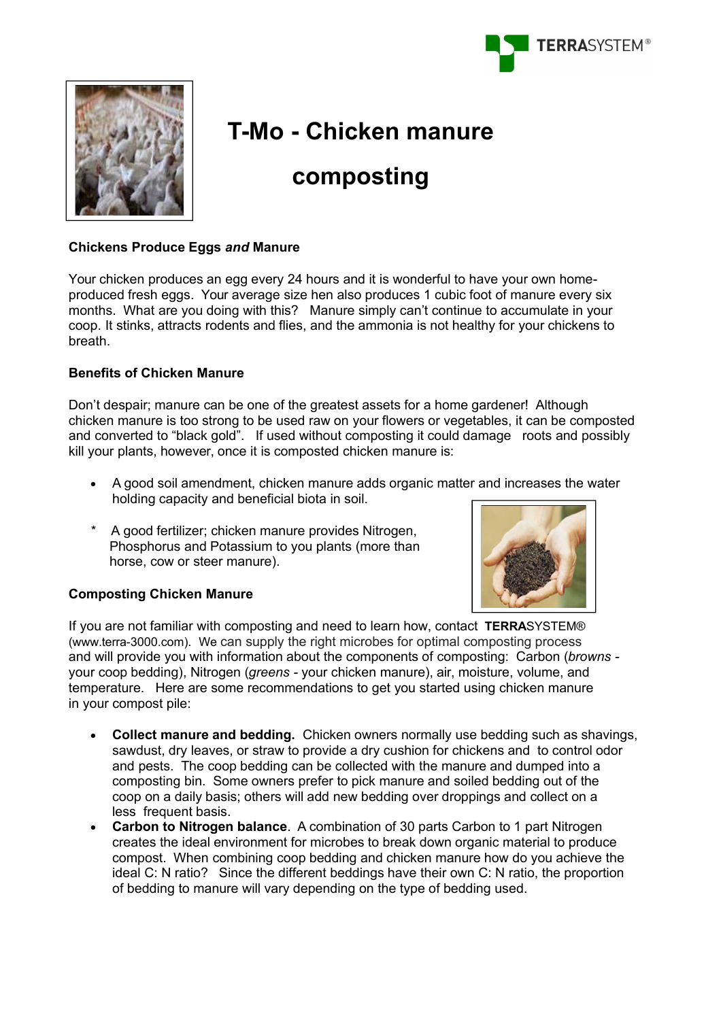



# **T-Mo - Chicken manure**

# **composting**

## **Chickens Produce Eggs** *and* **Manure**

Your chicken produces an egg every 24 hours and it is wonderful to have your own homeproduced fresh eggs. Your average size hen also produces 1 cubic foot of manure every six months. What are you doing with this? Manure simply can't continue to accumulate in your coop. It stinks, attracts rodents and flies, and the ammonia is not healthy for your chickens to breath.

# **Benefits of Chicken Manure**

Don't despair; manure can be one of the greatest assets for a home gardener! Although chicken manure is too strong to be used raw on your flowers or vegetables, it can be composted and converted to "black gold". If used without composting it could damage roots and possibly kill your plants, however, once it is composted chicken manure is:

- A good soil amendment, chicken manure adds organic matter and increases the water holding capacity and beneficial biota in soil.
- \* A good fertilizer; chicken manure provides Nitrogen, Phosphorus and Potassium to you plants (more than horse, cow or steer manure).



## **Composting Chicken Manure**

If you are not familiar with composting and need to learn how, contact **TERRA**SYSTEM® (www.terra-3000.com). We can supply the right microbes for optimal composting process and will provide you with information about the components of composting: Carbon (*browns*  your coop bedding), Nitrogen (*greens -* your chicken manure), air, moisture, volume, and temperature. Here are some recommendations to get you started using chicken manure in your compost pile:

- **Collect manure and bedding.** Chicken owners normally use bedding such as shavings, sawdust, dry leaves, or straw to provide a dry cushion for chickens and to control odor and pests. The coop bedding can be collected with the manure and dumped into a composting bin. Some owners prefer to pick manure and soiled bedding out of the coop on a daily basis; others will add new bedding over droppings and collect on a less frequent basis.
- **Carbon to Nitrogen balance**. A combination of 30 parts Carbon to 1 part Nitrogen creates the ideal environment for microbes to break down organic material to produce compost. When combining coop bedding and chicken manure how do you achieve the ideal C: N ratio? Since the different beddings have their own C: N ratio, the proportion of bedding to manure will vary depending on the type of bedding used.